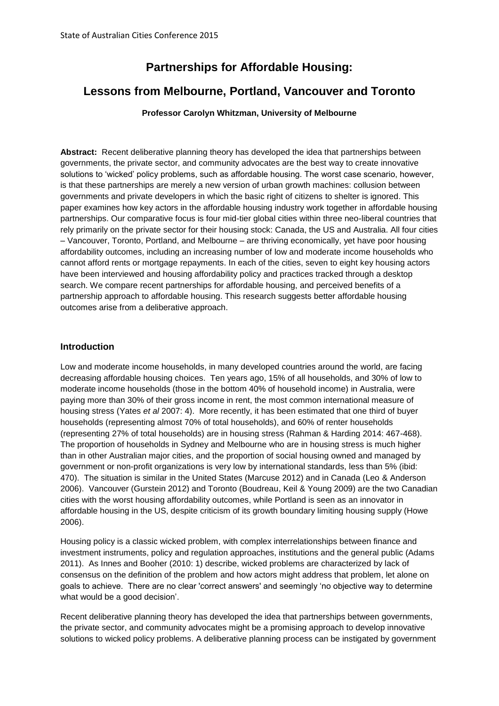# **Partnerships for Affordable Housing:**

## **Lessons from Melbourne, Portland, Vancouver and Toronto**

#### **Professor Carolyn Whitzman, University of Melbourne**

**Abstract:** Recent deliberative planning theory has developed the idea that partnerships between governments, the private sector, and community advocates are the best way to create innovative solutions to 'wicked' policy problems, such as affordable housing. The worst case scenario, however, is that these partnerships are merely a new version of urban growth machines: collusion between governments and private developers in which the basic right of citizens to shelter is ignored. This paper examines how key actors in the affordable housing industry work together in affordable housing partnerships. Our comparative focus is four mid-tier global cities within three neo-liberal countries that rely primarily on the private sector for their housing stock: Canada, the US and Australia. All four cities – Vancouver, Toronto, Portland, and Melbourne – are thriving economically, yet have poor housing affordability outcomes, including an increasing number of low and moderate income households who cannot afford rents or mortgage repayments. In each of the cities, seven to eight key housing actors have been interviewed and housing affordability policy and practices tracked through a desktop search. We compare recent partnerships for affordable housing, and perceived benefits of a partnership approach to affordable housing. This research suggests better affordable housing outcomes arise from a deliberative approach.

#### **Introduction**

Low and moderate income households, in many developed countries around the world, are facing decreasing affordable housing choices. Ten years ago, 15% of all households, and 30% of low to moderate income households (those in the bottom 40% of household income) in Australia, were paying more than 30% of their gross income in rent, the most common international measure of housing stress (Yates *et al* 2007: 4). More recently, it has been estimated that one third of buyer households (representing almost 70% of total households), and 60% of renter households (representing 27% of total households) are in housing stress (Rahman & Harding 2014: 467-468). The proportion of households in Sydney and Melbourne who are in housing stress is much higher than in other Australian major cities, and the proportion of social housing owned and managed by government or non-profit organizations is very low by international standards, less than 5% (ibid: 470). The situation is similar in the United States (Marcuse 2012) and in Canada (Leo & Anderson 2006). Vancouver (Gurstein 2012) and Toronto (Boudreau, Keil & Young 2009) are the two Canadian cities with the worst housing affordability outcomes, while Portland is seen as an innovator in affordable housing in the US, despite criticism of its growth boundary limiting housing supply (Howe 2006).

Housing policy is a classic wicked problem, with complex interrelationships between finance and investment instruments, policy and regulation approaches, institutions and the general public (Adams 2011). As Innes and Booher (2010: 1) describe, wicked problems are characterized by lack of consensus on the definition of the problem and how actors might address that problem, let alone on goals to achieve. There are no clear 'correct answers' and seemingly 'no objective way to determine what would be a good decision'.

Recent deliberative planning theory has developed the idea that partnerships between governments, the private sector, and community advocates might be a promising approach to develop innovative solutions to wicked policy problems. A deliberative planning process can be instigated by government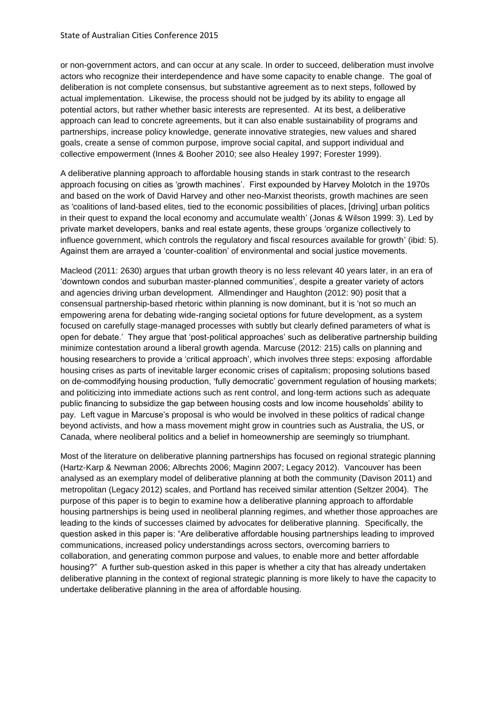or non-government actors, and can occur at any scale. In order to succeed, deliberation must involve actors who recognize their interdependence and have some capacity to enable change. The goal of deliberation is not complete consensus, but substantive agreement as to next steps, followed by actual implementation. Likewise, the process should not be judged by its ability to engage all potential actors, but rather whether basic interests are represented. At its best, a deliberative approach can lead to concrete agreements, but it can also enable sustainability of programs and partnerships, increase policy knowledge, generate innovative strategies, new values and shared goals, create a sense of common purpose, improve social capital, and support individual and collective empowerment (Innes & Booher 2010; see also Healey 1997; Forester 1999).

A deliberative planning approach to affordable housing stands in stark contrast to the research approach focusing on cities as 'growth machines'. First expounded by Harvey Molotch in the 1970s and based on the work of David Harvey and other neo-Marxist theorists, growth machines are seen as 'coalitions of land-based elites, tied to the economic possibilities of places, [driving] urban politics in their quest to expand the local economy and accumulate wealth' (Jonas & Wilson 1999: 3). Led by private market developers, banks and real estate agents, these groups 'organize collectively to influence government, which controls the regulatory and fiscal resources available for growth' (ibid: 5). Against them are arrayed a 'counter-coalition' of environmental and social justice movements.

Macleod (2011: 2630) argues that urban growth theory is no less relevant 40 years later, in an era of 'downtown condos and suburban master-planned communities', despite a greater variety of actors and agencies driving urban development. Allmendinger and Haughton (2012: 90) posit that a consensual partnership-based rhetoric within planning is now dominant, but it is 'not so much an empowering arena for debating wide-ranging societal options for future development, as a system focused on carefully stage-managed processes with subtly but clearly defined parameters of what is open for debate.' They argue that 'post-political approaches' such as deliberative partnership building minimize contestation around a liberal growth agenda. Marcuse (2012: 215) calls on planning and housing researchers to provide a 'critical approach', which involves three steps: exposing affordable housing crises as parts of inevitable larger economic crises of capitalism; proposing solutions based on de-commodifying housing production, 'fully democratic' government regulation of housing markets; and politicizing into immediate actions such as rent control, and long-term actions such as adequate public financing to subsidize the gap between housing costs and low income households' ability to pay. Left vague in Marcuse's proposal is who would be involved in these politics of radical change beyond activists, and how a mass movement might grow in countries such as Australia, the US, or Canada, where neoliberal politics and a belief in homeownership are seemingly so triumphant.

Most of the literature on deliberative planning partnerships has focused on regional strategic planning (Hartz-Karp & Newman 2006; Albrechts 2006; Maginn 2007; Legacy 2012). Vancouver has been analysed as an exemplary model of deliberative planning at both the community (Davison 2011) and metropolitan (Legacy 2012) scales, and Portland has received similar attention (Seltzer 2004). The purpose of this paper is to begin to examine how a deliberative planning approach to affordable housing partnerships is being used in neoliberal planning regimes, and whether those approaches are leading to the kinds of successes claimed by advocates for deliberative planning. Specifically, the question asked in this paper is: "Are deliberative affordable housing partnerships leading to improved communications, increased policy understandings across sectors, overcoming barriers to collaboration, and generating common purpose and values, to enable more and better affordable housing?" A further sub-question asked in this paper is whether a city that has already undertaken deliberative planning in the context of regional strategic planning is more likely to have the capacity to undertake deliberative planning in the area of affordable housing.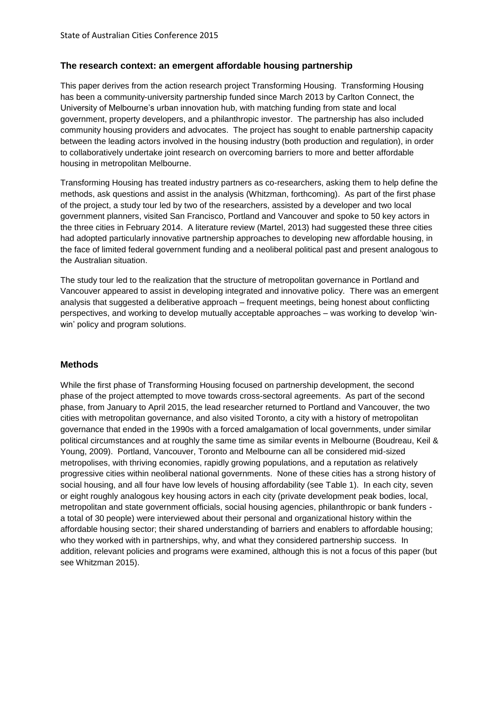#### **The research context: an emergent affordable housing partnership**

This paper derives from the action research project Transforming Housing. Transforming Housing has been a community-university partnership funded since March 2013 by Carlton Connect, the University of Melbourne's urban innovation hub, with matching funding from state and local government, property developers, and a philanthropic investor. The partnership has also included community housing providers and advocates. The project has sought to enable partnership capacity between the leading actors involved in the housing industry (both production and regulation), in order to collaboratively undertake joint research on overcoming barriers to more and better affordable housing in metropolitan Melbourne.

Transforming Housing has treated industry partners as co-researchers, asking them to help define the methods, ask questions and assist in the analysis (Whitzman, forthcoming). As part of the first phase of the project, a study tour led by two of the researchers, assisted by a developer and two local government planners, visited San Francisco, Portland and Vancouver and spoke to 50 key actors in the three cities in February 2014. A literature review (Martel, 2013) had suggested these three cities had adopted particularly innovative partnership approaches to developing new affordable housing, in the face of limited federal government funding and a neoliberal political past and present analogous to the Australian situation.

The study tour led to the realization that the structure of metropolitan governance in Portland and Vancouver appeared to assist in developing integrated and innovative policy. There was an emergent analysis that suggested a deliberative approach – frequent meetings, being honest about conflicting perspectives, and working to develop mutually acceptable approaches – was working to develop 'winwin' policy and program solutions.

#### **Methods**

While the first phase of Transforming Housing focused on partnership development, the second phase of the project attempted to move towards cross-sectoral agreements. As part of the second phase, from January to April 2015, the lead researcher returned to Portland and Vancouver, the two cities with metropolitan governance, and also visited Toronto, a city with a history of metropolitan governance that ended in the 1990s with a forced amalgamation of local governments, under similar political circumstances and at roughly the same time as similar events in Melbourne (Boudreau, Keil & Young, 2009). Portland, Vancouver, Toronto and Melbourne can all be considered mid-sized metropolises, with thriving economies, rapidly growing populations, and a reputation as relatively progressive cities within neoliberal national governments. None of these cities has a strong history of social housing, and all four have low levels of housing affordability (see Table 1). In each city, seven or eight roughly analogous key housing actors in each city (private development peak bodies, local, metropolitan and state government officials, social housing agencies, philanthropic or bank funders a total of 30 people) were interviewed about their personal and organizational history within the affordable housing sector; their shared understanding of barriers and enablers to affordable housing; who they worked with in partnerships, why, and what they considered partnership success. In addition, relevant policies and programs were examined, although this is not a focus of this paper (but see Whitzman 2015).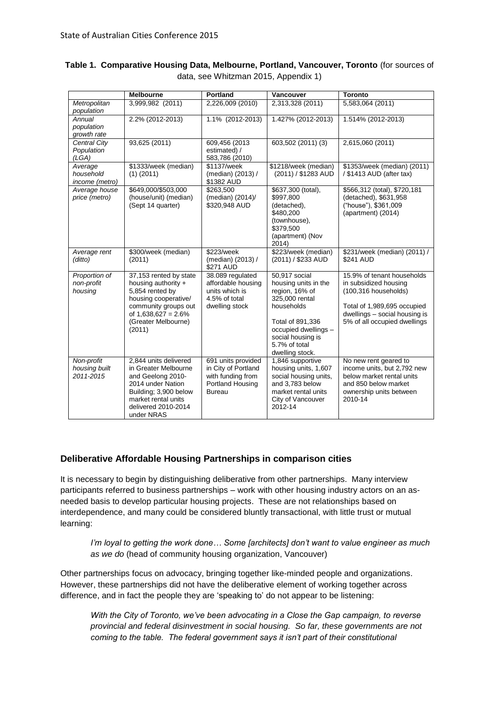|                                          | <b>Melbourne</b>                                                                                                                                                             | <b>Portland</b>                                                                                     | Vancouver                                                                                                                                                                                    | <b>Toronto</b>                                                                                                                                                                 |
|------------------------------------------|------------------------------------------------------------------------------------------------------------------------------------------------------------------------------|-----------------------------------------------------------------------------------------------------|----------------------------------------------------------------------------------------------------------------------------------------------------------------------------------------------|--------------------------------------------------------------------------------------------------------------------------------------------------------------------------------|
| Metropolitan<br>population               | 3,999,982 (2011)                                                                                                                                                             | 2,226,009 (2010)                                                                                    | 2,313,328 (2011)                                                                                                                                                                             | 5,583,064 (2011)                                                                                                                                                               |
| Annual<br>population<br>growth rate      | 2.2% (2012-2013)                                                                                                                                                             | 1.1% (2012-2013)                                                                                    | 1.427% (2012-2013)                                                                                                                                                                           | 1.514% (2012-2013)                                                                                                                                                             |
| Central City<br>Population<br>(LGA)      | 93,625 (2011)                                                                                                                                                                | 609,456 (2013<br>estimated) /<br>583,786 (2010)                                                     | 603,502 (2011) (3)                                                                                                                                                                           | 2,615,060 (2011)                                                                                                                                                               |
| Average<br>household<br>income (metro)   | \$1333/week (median)<br>$(1)$ (2011)                                                                                                                                         | \$1137/week<br>(median) (2013) /<br>\$1382 AUD                                                      | \$1218/week (median)<br>(2011) / \$1283 AUD                                                                                                                                                  | \$1353/week (median) (2011)<br>/ \$1413 AUD (after tax)                                                                                                                        |
| Average house<br>price (metro)           | \$649,000/\$503,000<br>(house/unit) (median)<br>(Sept 14 quarter)                                                                                                            | \$263.500<br>(median) (2014)/<br>\$320,948 AUD                                                      | \$637,300 (total),<br>\$997,800<br>(detached),<br>\$480,200<br>(townhouse),<br>\$379,500<br>(apartment) (Nov<br>2014)                                                                        | \$566,312 (total), \$720,181<br>(detached), \$631,958<br>("house"), \$361,009<br>(apartment) (2014)                                                                            |
| Average rent<br>(ditto)                  | \$300/week (median)<br>(2011)                                                                                                                                                | \$223/week<br>(median) (2013) /<br>\$271 AUD                                                        | \$223/week (median)<br>(2011) / \$233 AUD                                                                                                                                                    | \$231/week (median) (2011) /<br>\$241 AUD                                                                                                                                      |
| Proportion of<br>non-profit<br>housing   | 37,153 rented by state<br>housing authority +<br>5,854 rented by<br>housing cooperative/<br>community groups out<br>of $1,638,627 = 2.6\%$<br>(Greater Melbourne)<br>(2011)  | 38.089 regulated<br>affordable housing<br>units which is<br>4.5% of total<br>dwelling stock         | 50,917 social<br>housing units in the<br>region, 16% of<br>325,000 rental<br>households<br>Total of 891,336<br>occupied dwellings -<br>social housing is<br>5.7% of total<br>dwelling stock. | 15.9% of tenant households<br>in subsidized housing<br>$(100, 316$ households)<br>Total of 1,989,695 occupied<br>dwellings - social housing is<br>5% of all occupied dwellings |
| Non-profit<br>housing built<br>2011-2015 | 2,844 units delivered<br>in Greater Melbourne<br>and Geelong 2010-<br>2014 under Nation<br>Building; 3,900 below<br>market rental units<br>delivered 2010-2014<br>under NRAS | 691 units provided<br>in City of Portland<br>with funding from<br>Portland Housing<br><b>Bureau</b> | 1,846 supportive<br>housing units, 1,607<br>social housing units,<br>and 3,783 below<br>market rental units<br>City of Vancouver<br>2012-14                                                  | No new rent geared to<br>income units, but 2,792 new<br>below market rental units<br>and 850 below market<br>ownership units between<br>2010-14                                |

#### **Table 1. Comparative Housing Data, Melbourne, Portland, Vancouver, Toronto** (for sources of data, see Whitzman 2015, Appendix 1)

## **Deliberative Affordable Housing Partnerships in comparison cities**

It is necessary to begin by distinguishing deliberative from other partnerships. Many interview participants referred to business partnerships – work with other housing industry actors on an asneeded basis to develop particular housing projects. These are not relationships based on interdependence, and many could be considered bluntly transactional, with little trust or mutual learning:

*I'm loyal to getting the work done… Some [architects] don't want to value engineer as much as we do* (head of community housing organization, Vancouver)

Other partnerships focus on advocacy, bringing together like-minded people and organizations. However, these partnerships did not have the deliberative element of working together across difference, and in fact the people they are 'speaking to' do not appear to be listening:

*With the City of Toronto, we've been advocating in a Close the Gap campaign, to reverse provincial and federal disinvestment in social housing. So far, these governments are not coming to the table. The federal government says it isn't part of their constitutional*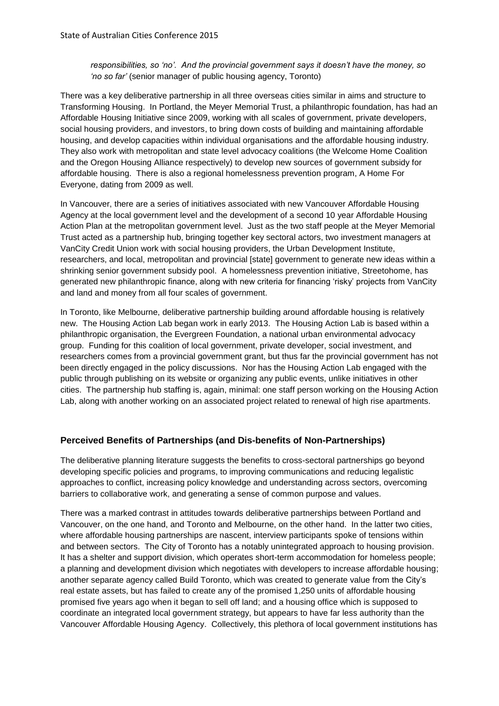#### *responsibilities, so 'no'. And the provincial government says it doesn't have the money, so 'no so far'* (senior manager of public housing agency, Toronto)

There was a key deliberative partnership in all three overseas cities similar in aims and structure to Transforming Housing. In Portland, the Meyer Memorial Trust, a philanthropic foundation, has had an Affordable Housing Initiative since 2009, working with all scales of government, private developers, social housing providers, and investors, to bring down costs of building and maintaining affordable housing, and develop capacities within individual organisations and the affordable housing industry. They also work with metropolitan and state level advocacy coalitions (the Welcome Home Coalition and the Oregon Housing Alliance respectively) to develop new sources of government subsidy for affordable housing. There is also a regional homelessness prevention program, A Home For Everyone, dating from 2009 as well.

In Vancouver, there are a series of initiatives associated with new Vancouver Affordable Housing Agency at the local government level and the development of a second 10 year Affordable Housing Action Plan at the metropolitan government level. Just as the two staff people at the Meyer Memorial Trust acted as a partnership hub, bringing together key sectoral actors, two investment managers at VanCity Credit Union work with social housing providers, the Urban Development Institute, researchers, and local, metropolitan and provincial [state] government to generate new ideas within a shrinking senior government subsidy pool. A homelessness prevention initiative, Streetohome, has generated new philanthropic finance, along with new criteria for financing 'risky' projects from VanCity and land and money from all four scales of government.

In Toronto, like Melbourne, deliberative partnership building around affordable housing is relatively new. The Housing Action Lab began work in early 2013. The Housing Action Lab is based within a philanthropic organisation, the Evergreen Foundation, a national urban environmental advocacy group. Funding for this coalition of local government, private developer, social investment, and researchers comes from a provincial government grant, but thus far the provincial government has not been directly engaged in the policy discussions. Nor has the Housing Action Lab engaged with the public through publishing on its website or organizing any public events, unlike initiatives in other cities. The partnership hub staffing is, again, minimal: one staff person working on the Housing Action Lab, along with another working on an associated project related to renewal of high rise apartments.

#### **Perceived Benefits of Partnerships (and Dis-benefits of Non-Partnerships)**

The deliberative planning literature suggests the benefits to cross-sectoral partnerships go beyond developing specific policies and programs, to improving communications and reducing legalistic approaches to conflict, increasing policy knowledge and understanding across sectors, overcoming barriers to collaborative work, and generating a sense of common purpose and values.

There was a marked contrast in attitudes towards deliberative partnerships between Portland and Vancouver, on the one hand, and Toronto and Melbourne, on the other hand. In the latter two cities, where affordable housing partnerships are nascent, interview participants spoke of tensions within and between sectors. The City of Toronto has a notably unintegrated approach to housing provision. It has a shelter and support division, which operates short-term accommodation for homeless people; a planning and development division which negotiates with developers to increase affordable housing; another separate agency called Build Toronto, which was created to generate value from the City's real estate assets, but has failed to create any of the promised 1,250 units of affordable housing promised five years ago when it began to sell off land; and a housing office which is supposed to coordinate an integrated local government strategy, but appears to have far less authority than the Vancouver Affordable Housing Agency. Collectively, this plethora of local government institutions has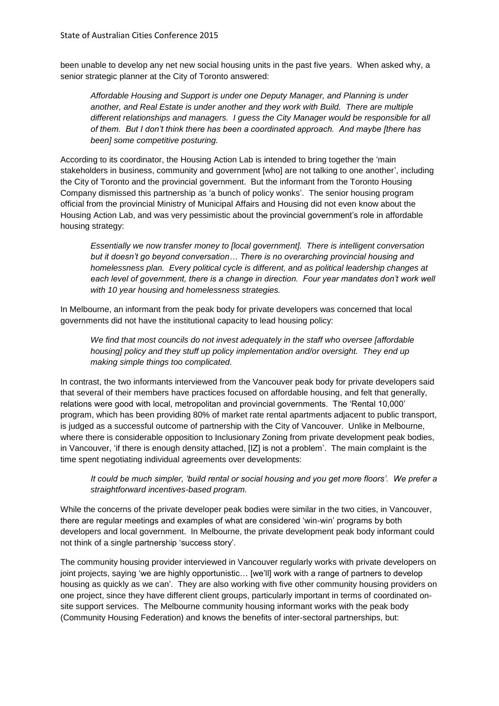been unable to develop any net new social housing units in the past five years. When asked why, a senior strategic planner at the City of Toronto answered:

*Affordable Housing and Support is under one Deputy Manager, and Planning is under another, and Real Estate is under another and they work with Build. There are multiple different relationships and managers. I guess the City Manager would be responsible for all of them. But I don't think there has been a coordinated approach. And maybe [there has been] some competitive posturing.* 

According to its coordinator, the Housing Action Lab is intended to bring together the 'main stakeholders in business, community and government [who] are not talking to one another', including the City of Toronto and the provincial government. But the informant from the Toronto Housing Company dismissed this partnership as 'a bunch of policy wonks'. The senior housing program official from the provincial Ministry of Municipal Affairs and Housing did not even know about the Housing Action Lab, and was very pessimistic about the provincial government's role in affordable housing strategy:

*Essentially we now transfer money to [local government]. There is intelligent conversation but it doesn't go beyond conversation… There is no overarching provincial housing and homelessness plan. Every political cycle is different, and as political leadership changes at*  each level of government, there is a change in direction. Four year mandates don't work well *with 10 year housing and homelessness strategies.* 

In Melbourne, an informant from the peak body for private developers was concerned that local governments did not have the institutional capacity to lead housing policy:

*We find that most councils do not invest adequately in the staff who oversee [affordable housing] policy and they stuff up policy implementation and/or oversight. They end up making simple things too complicated.* 

In contrast, the two informants interviewed from the Vancouver peak body for private developers said that several of their members have practices focused on affordable housing, and felt that generally, relations were good with local, metropolitan and provincial governments. The 'Rental 10,000' program, which has been providing 80% of market rate rental apartments adjacent to public transport, is judged as a successful outcome of partnership with the City of Vancouver. Unlike in Melbourne, where there is considerable opposition to Inclusionary Zoning from private development peak bodies, in Vancouver, 'if there is enough density attached, [IZ] is not a problem'. The main complaint is the time spent negotiating individual agreements over developments:

*It could be much simpler, 'build rental or social housing and you get more floors'. We prefer a straightforward incentives-based program.*

While the concerns of the private developer peak bodies were similar in the two cities, in Vancouver, there are regular meetings and examples of what are considered 'win-win' programs by both developers and local government. In Melbourne, the private development peak body informant could not think of a single partnership 'success story'.

The community housing provider interviewed in Vancouver regularly works with private developers on joint projects, saying 'we are highly opportunistic… [we'll] work with a range of partners to develop housing as quickly as we can'. They are also working with five other community housing providers on one project, since they have different client groups, particularly important in terms of coordinated onsite support services. The Melbourne community housing informant works with the peak body (Community Housing Federation) and knows the benefits of inter-sectoral partnerships, but: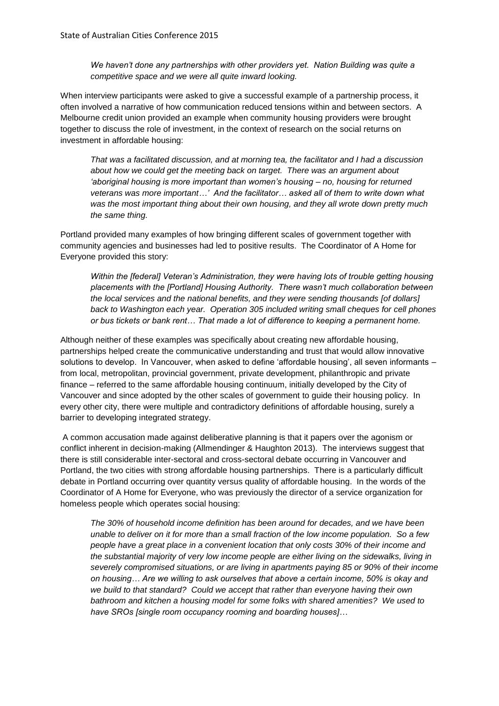*We haven't done any partnerships with other providers yet. Nation Building was quite a competitive space and we were all quite inward looking.*

When interview participants were asked to give a successful example of a partnership process, it often involved a narrative of how communication reduced tensions within and between sectors. A Melbourne credit union provided an example when community housing providers were brought together to discuss the role of investment, in the context of research on the social returns on investment in affordable housing:

*That was a facilitated discussion, and at morning tea, the facilitator and I had a discussion about how we could get the meeting back on target. There was an argument about 'aboriginal housing is more important than women's housing – no, housing for returned veterans was more important…' And the facilitator… asked all of them to write down what was the most important thing about their own housing, and they all wrote down pretty much the same thing.*

Portland provided many examples of how bringing different scales of government together with community agencies and businesses had led to positive results. The Coordinator of A Home for Everyone provided this story:

*Within the [federal] Veteran's Administration, they were having lots of trouble getting housing placements with the [Portland] Housing Authority. There wasn't much collaboration between the local services and the national benefits, and they were sending thousands [of dollars] back to Washington each year. Operation 305 included writing small cheques for cell phones or bus tickets or bank rent… That made a lot of difference to keeping a permanent home.*

Although neither of these examples was specifically about creating new affordable housing, partnerships helped create the communicative understanding and trust that would allow innovative solutions to develop. In Vancouver, when asked to define 'affordable housing', all seven informants – from local, metropolitan, provincial government, private development, philanthropic and private finance – referred to the same affordable housing continuum, initially developed by the City of Vancouver and since adopted by the other scales of government to guide their housing policy. In every other city, there were multiple and contradictory definitions of affordable housing, surely a barrier to developing integrated strategy.

A common accusation made against deliberative planning is that it papers over the agonism or conflict inherent in decision-making (Allmendinger & Haughton 2013). The interviews suggest that there is still considerable inter-sectoral and cross-sectoral debate occurring in Vancouver and Portland, the two cities with strong affordable housing partnerships. There is a particularly difficult debate in Portland occurring over quantity versus quality of affordable housing. In the words of the Coordinator of A Home for Everyone, who was previously the director of a service organization for homeless people which operates social housing:

*The 30% of household income definition has been around for decades, and we have been unable to deliver on it for more than a small fraction of the low income population. So a few people have a great place in a convenient location that only costs 30% of their income and the substantial majority of very low income people are either living on the sidewalks, living in severely compromised situations, or are living in apartments paying 85 or 90% of their income on housing… Are we willing to ask ourselves that above a certain income, 50% is okay and we build to that standard? Could we accept that rather than everyone having their own bathroom and kitchen a housing model for some folks with shared amenities? We used to have SROs [single room occupancy rooming and boarding houses]…*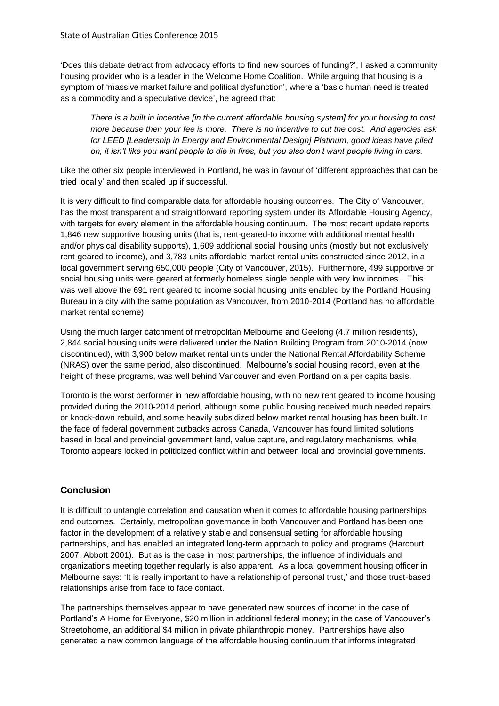'Does this debate detract from advocacy efforts to find new sources of funding?', I asked a community housing provider who is a leader in the Welcome Home Coalition. While arguing that housing is a symptom of 'massive market failure and political dysfunction', where a 'basic human need is treated as a commodity and a speculative device', he agreed that:

*There is a built in incentive [in the current affordable housing system] for your housing to cost more because then your fee is more. There is no incentive to cut the cost. And agencies ask for LEED [Leadership in Energy and Environmental Design] Platinum, good ideas have piled on, it isn't like you want people to die in fires, but you also don't want people living in cars.* 

Like the other six people interviewed in Portland, he was in favour of 'different approaches that can be tried locally' and then scaled up if successful.

It is very difficult to find comparable data for affordable housing outcomes. The City of Vancouver, has the most transparent and straightforward reporting system under its Affordable Housing Agency, with targets for every element in the affordable housing continuum. The most recent update reports 1,846 new supportive housing units (that is, rent-geared-to income with additional mental health and/or physical disability supports), 1,609 additional social housing units (mostly but not exclusively rent-geared to income), and 3,783 units affordable market rental units constructed since 2012, in a local government serving 650,000 people (City of Vancouver, 2015). Furthermore, 499 supportive or social housing units were geared at formerly homeless single people with very low incomes. This was well above the 691 rent geared to income social housing units enabled by the Portland Housing Bureau in a city with the same population as Vancouver, from 2010-2014 (Portland has no affordable market rental scheme).

Using the much larger catchment of metropolitan Melbourne and Geelong (4.7 million residents), 2,844 social housing units were delivered under the Nation Building Program from 2010-2014 (now discontinued), with 3,900 below market rental units under the National Rental Affordability Scheme (NRAS) over the same period, also discontinued. Melbourne's social housing record, even at the height of these programs, was well behind Vancouver and even Portland on a per capita basis.

Toronto is the worst performer in new affordable housing, with no new rent geared to income housing provided during the 2010-2014 period, although some public housing received much needed repairs or knock-down rebuild, and some heavily subsidized below market rental housing has been built. In the face of federal government cutbacks across Canada, Vancouver has found limited solutions based in local and provincial government land, value capture, and regulatory mechanisms, while Toronto appears locked in politicized conflict within and between local and provincial governments.

## **Conclusion**

It is difficult to untangle correlation and causation when it comes to affordable housing partnerships and outcomes. Certainly, metropolitan governance in both Vancouver and Portland has been one factor in the development of a relatively stable and consensual setting for affordable housing partnerships, and has enabled an integrated long-term approach to policy and programs (Harcourt 2007, Abbott 2001). But as is the case in most partnerships, the influence of individuals and organizations meeting together regularly is also apparent. As a local government housing officer in Melbourne says: 'It is really important to have a relationship of personal trust,' and those trust-based relationships arise from face to face contact.

The partnerships themselves appear to have generated new sources of income: in the case of Portland's A Home for Everyone, \$20 million in additional federal money; in the case of Vancouver's Streetohome, an additional \$4 million in private philanthropic money. Partnerships have also generated a new common language of the affordable housing continuum that informs integrated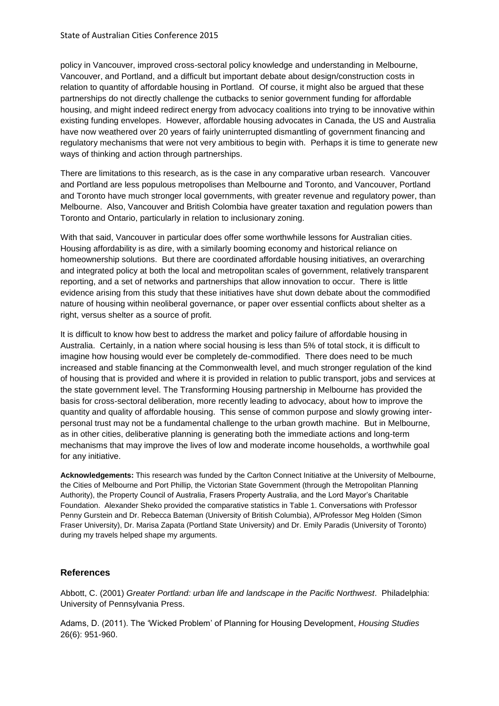policy in Vancouver, improved cross-sectoral policy knowledge and understanding in Melbourne, Vancouver, and Portland, and a difficult but important debate about design/construction costs in relation to quantity of affordable housing in Portland. Of course, it might also be argued that these partnerships do not directly challenge the cutbacks to senior government funding for affordable housing, and might indeed redirect energy from advocacy coalitions into trying to be innovative within existing funding envelopes. However, affordable housing advocates in Canada, the US and Australia have now weathered over 20 years of fairly uninterrupted dismantling of government financing and regulatory mechanisms that were not very ambitious to begin with. Perhaps it is time to generate new ways of thinking and action through partnerships.

There are limitations to this research, as is the case in any comparative urban research. Vancouver and Portland are less populous metropolises than Melbourne and Toronto, and Vancouver, Portland and Toronto have much stronger local governments, with greater revenue and regulatory power, than Melbourne. Also, Vancouver and British Colombia have greater taxation and regulation powers than Toronto and Ontario, particularly in relation to inclusionary zoning.

With that said, Vancouver in particular does offer some worthwhile lessons for Australian cities. Housing affordability is as dire, with a similarly booming economy and historical reliance on homeownership solutions. But there are coordinated affordable housing initiatives, an overarching and integrated policy at both the local and metropolitan scales of government, relatively transparent reporting, and a set of networks and partnerships that allow innovation to occur. There is little evidence arising from this study that these initiatives have shut down debate about the commodified nature of housing within neoliberal governance, or paper over essential conflicts about shelter as a right, versus shelter as a source of profit.

It is difficult to know how best to address the market and policy failure of affordable housing in Australia. Certainly, in a nation where social housing is less than 5% of total stock, it is difficult to imagine how housing would ever be completely de-commodified. There does need to be much increased and stable financing at the Commonwealth level, and much stronger regulation of the kind of housing that is provided and where it is provided in relation to public transport, jobs and services at the state government level. The Transforming Housing partnership in Melbourne has provided the basis for cross-sectoral deliberation, more recently leading to advocacy, about how to improve the quantity and quality of affordable housing. This sense of common purpose and slowly growing interpersonal trust may not be a fundamental challenge to the urban growth machine. But in Melbourne, as in other cities, deliberative planning is generating both the immediate actions and long-term mechanisms that may improve the lives of low and moderate income households, a worthwhile goal for any initiative.

**Acknowledgements:** This research was funded by the Carlton Connect Initiative at the University of Melbourne, the Cities of Melbourne and Port Phillip, the Victorian State Government (through the Metropolitan Planning Authority), the Property Council of Australia, Frasers Property Australia, and the Lord Mayor's Charitable Foundation. Alexander Sheko provided the comparative statistics in Table 1. Conversations with Professor Penny Gurstein and Dr. Rebecca Bateman (University of British Columbia), A/Professor Meg Holden (Simon Fraser University), Dr. Marisa Zapata (Portland State University) and Dr. Emily Paradis (University of Toronto) during my travels helped shape my arguments.

#### **References**

Abbott, C. (2001) *Greater Portland: urban life and landscape in the Pacific Northwest*. Philadelphia: University of Pennsylvania Press.

Adams, D. (2011). The 'Wicked Problem' of Planning for Housing Development, *Housing Studies* 26(6): 951-960.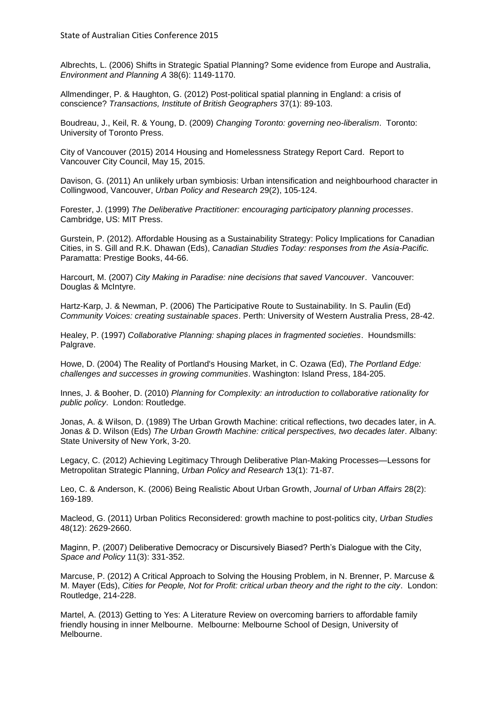Albrechts, L. (2006) Shifts in Strategic Spatial Planning? Some evidence from Europe and Australia, *Environment and Planning A* 38(6): 1149-1170.

Allmendinger, P. & Haughton, G. (2012) Post-political spatial planning in England: a crisis of conscience? *Transactions, Institute of British Geographers* 37(1): 89-103.

Boudreau, J., Keil, R. & Young, D. (2009) *Changing Toronto: governing neo-liberalism*. Toronto: University of Toronto Press.

City of Vancouver (2015) 2014 Housing and Homelessness Strategy Report Card. Report to Vancouver City Council, May 15, 2015.

Davison, G. (2011) An unlikely urban symbiosis: Urban intensification and neighbourhood character in Collingwood, Vancouver, *Urban Policy and Research* 29(2), 105-124.

Forester, J. (1999) *The Deliberative Practitioner: encouraging participatory planning processes*. Cambridge, US: MIT Press.

Gurstein, P. (2012). Affordable Housing as a Sustainability Strategy: Policy Implications for Canadian Cities, in S. Gill and R.K. Dhawan (Eds), *Canadian Studies Today: responses from the Asia-Pacific.*  Paramatta: Prestige Books, 44-66.

Harcourt, M. (2007) *City Making in Paradise: nine decisions that saved Vancouver*. Vancouver: Douglas & McIntyre.

Hartz-Karp, J. & Newman, P. (2006) The Participative Route to Sustainability. In S. Paulin (Ed) *Community Voices: creating sustainable spaces*. Perth: University of Western Australia Press, 28-42.

Healey, P. (1997) *Collaborative Planning: shaping places in fragmented societies*. Houndsmills: Palgrave.

Howe, D. (2004) The Reality of Portland's Housing Market, in C. Ozawa (Ed), *The Portland Edge: challenges and successes in growing communities*. Washington: Island Press, 184-205.

Innes, J. & Booher, D. (2010) *Planning for Complexity: an introduction to collaborative rationality for public policy*. London: Routledge.

Jonas, A. & Wilson, D. (1989) The Urban Growth Machine: critical reflections, two decades later, in A. Jonas & D. Wilson (Eds) *The Urban Growth Machine: critical perspectives, two decades later*. Albany: State University of New York, 3-20.

Legacy, C. (2012) Achieving Legitimacy Through Deliberative Plan-Making Processes—Lessons for Metropolitan Strategic Planning, *Urban Policy and Research* 13(1): 71-87.

Leo, C. & Anderson, K. (2006) Being Realistic About Urban Growth, *Journal of Urban Affairs* 28(2): 169-189.

Macleod, G. (2011) Urban Politics Reconsidered: growth machine to post-politics city, *Urban Studies* 48(12): 2629-2660.

Maginn, P. (2007) Deliberative Democracy or Discursively Biased? Perth's Dialogue with the City, *Space and Policy* 11(3): 331-352.

Marcuse, P. (2012) A Critical Approach to Solving the Housing Problem, in N. Brenner, P. Marcuse & M. Mayer (Eds), *Cities for People, Not for Profit: critical urban theory and the right to the city*. London: Routledge, 214-228.

Martel, A. (2013) Getting to Yes: A Literature Review on overcoming barriers to affordable family friendly housing in inner Melbourne. Melbourne: Melbourne School of Design, University of Melbourne.